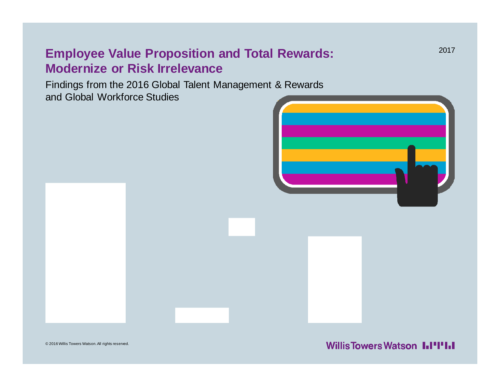### **Employee Value Proposition and Total Rewards: Modernize or Risk Irrelevance**

Findings from the 2016 Global Talent Management & Rewards and Global Workforce Studies



© 2016 Willis Towers Watson. All rights reserved.

**Willis Towers Watson I.I'I'I.I**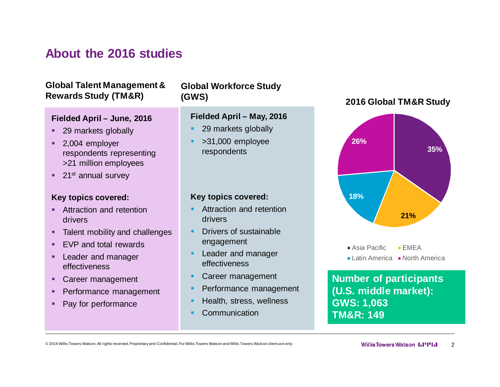### **About the 2016 studies**

#### **Global Talent Management & Rewards Study (TM&R)**

#### **Fielded April – June, 2016**

- 29 markets globally
- 2,004 employer respondents representing >21 million employees
- $\blacksquare$  21st annual survey

#### **Key topics covered:**

- **EXECUTE:** Attraction and retention drivers
- Talent mobility and challenges
- EVP and total rewards
- **Exercise Leader and manager** effectiveness
- Career management
- **Performance management**
- Pay for performance

#### **Global Workforce Study (GWS)**

#### **Fielded April – May, 2016**

- § 29 markets globally
- § >31,000 employee respondents

#### **Key topics covered:**

- § Attraction and retention drivers
- § Drivers of sustainable engagement
- **Leader and manager** effectiveness
- § Career management
- Performance management
- § Health, stress, wellness
- **Communication**

#### **2016 Global TM&R Study**



 $\blacksquare$  Asia Pacific  $\blacksquare$  EMEA  $\blacksquare$  Latin America  $\blacksquare$  North America

**Number of participants (U.S. middle market): GWS: 1,063 TM&R: 149**

© 2016 Willis Towers Watson. All rights reserved. Proprietary and Confidential. For Willis Towers Watson and Willis Towers Watson client use only. **2008 Watson and Willis Towers Watson 2009 Willis Towers Watson 1.1'''1.1 2**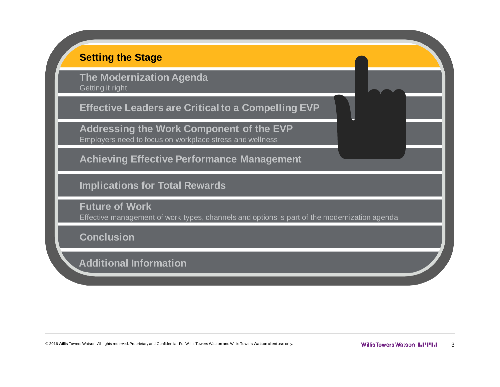#### **Setting the Stage**

**The Modernization Agenda** Getting it right

**Effective Leaders are Critical to a Compelling EVP**

**Addressing the Work Component of the EVP** Employers need to focus on workplace stress and wellness

**Achieving Effective Performance Management**

**Implications for Total Rewards**

**Future of Work** Effective management of work types, channels and options is part of the modernization agenda

**Conclusion**

**Additional Information**

© 2016 Willis Towers Watson. All rights reserved. Proprietary and Confidential. For Willis Towers Watson and Willis Towers Watson client use only. **The and all all and Secure 2016 Willis Towers Watson 1.1'''1.1 3**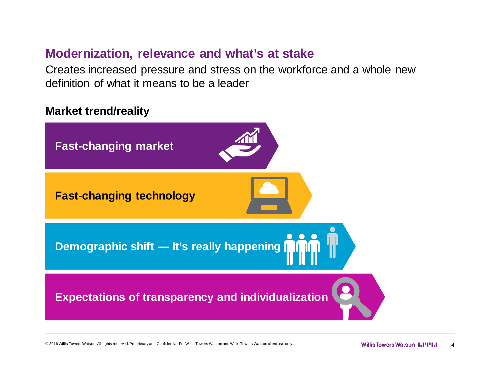### **Modernization, relevance and what's at stake**

Creates increased pressure and stress on the workforce and a whole new definition of what it means to be a leader

#### **Market trend/reality**



© 2016 Willis Towers Watson. All rights reserved. Proprietary and Confidential. For Willis Towers Watson and Willis Towers Watson client use only. **Ally and ally account of the Continuity of the Confidential.** Towers Watso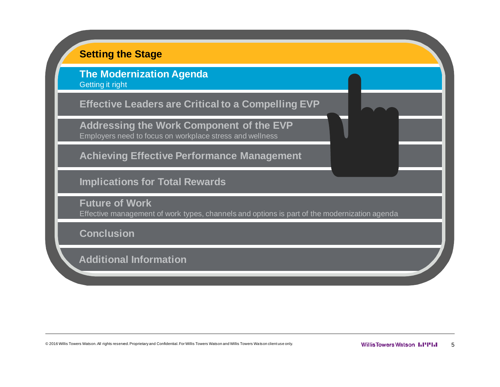#### **Setting the Stage**

**The Modernization Agenda** Getting it right

**Effective Leaders are Critical to a Compelling EVP**

**Addressing the Work Component of the EVP** Employers need to focus on workplace stress and wellness

**Achieving Effective Performance Management**

**Implications for Total Rewards**

**Future of Work** Effective management of work types, channels and options is part of the modernization agenda

**Conclusion**

**Additional Information**

© 2016 Willis Towers Watson. All rights reserved. Proprietary and Confidential. For Willis Towers Watson and Willis Towers Watson client use only. The manufacture only. **Willis Towers Watson 1.1''1.1**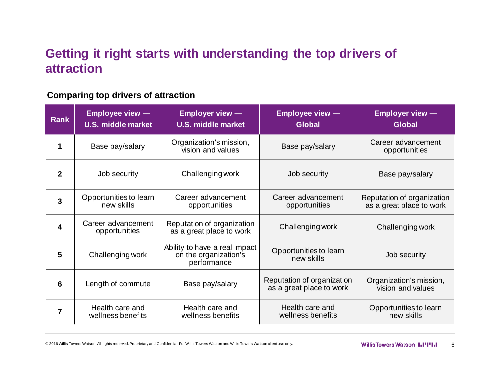# **Getting it right starts with understanding the top drivers of attraction**

#### **Comparing top drivers of attraction**

| <b>Rank</b>  | <b>Employee view --</b><br><b>U.S. middle market</b> | <b>Employer view --</b><br><b>U.S. middle market</b>                  | <b>Employee view -</b><br><b>Global</b>                | <b>Employer view -</b><br><b>Global</b>                |  |
|--------------|------------------------------------------------------|-----------------------------------------------------------------------|--------------------------------------------------------|--------------------------------------------------------|--|
| 1            | Base pay/salary                                      | Organization's mission,<br>vision and values                          | Base pay/salary                                        | Career advancement<br>opportunities                    |  |
| $\mathbf{2}$ | Job security                                         | Challenging work                                                      | Job security                                           |                                                        |  |
| 3            | Opportunities to learn<br>new skills                 | Career advancement<br>opportunities                                   | Career advancement<br>opportunities                    | Reputation of organization<br>as a great place to work |  |
| 4            | Career advancement<br>opportunities                  | Reputation of organization<br>as a great place to work                | Challenging work                                       | Challenging work                                       |  |
| 5            | Challenging work                                     | Ability to have a real impact<br>on the organization's<br>performance | Opportunities to learn<br>new skills                   | Job security                                           |  |
| 6            | Length of commute                                    | Base pay/salary                                                       | Reputation of organization<br>as a great place to work | Organization's mission,<br>vision and values           |  |
| 7            | Health care and<br>wellness benefits                 | Health care and<br>wellness benefits                                  | Health care and<br>wellness benefits                   | Opportunities to learn<br>new skills                   |  |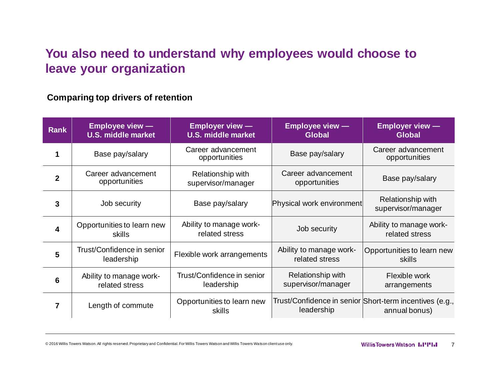# **You also need to understand why employees would choose to leave your organization**

#### **Comparing top drivers of retention**

| <b>Rank</b>             | <b>Employee view —</b><br><b>U.S. middle market</b> | <b>Employer view —</b><br><b>U.S. middle market</b> | <b>Employee view —</b><br><b>Global</b>   | <b>Employer view -</b><br><b>Global</b>                                  |
|-------------------------|-----------------------------------------------------|-----------------------------------------------------|-------------------------------------------|--------------------------------------------------------------------------|
| 1                       | Base pay/salary                                     | Career advancement<br>opportunities                 | Base pay/salary                           | Career advancement<br>opportunities                                      |
| $\overline{2}$          | Career advancement<br>opportunities                 | Relationship with<br>supervisor/manager             | Career advancement<br>opportunities       | Base pay/salary                                                          |
| 3                       | Job security                                        | Base pay/salary                                     | Physical work environment                 | Relationship with<br>supervisor/manager                                  |
| $\overline{\mathbf{4}}$ | Opportunities to learn new<br>skills                | Ability to manage work-<br>related stress           | Job security                              | Ability to manage work-<br>related stress                                |
| 5                       | Trust/Confidence in senior<br>leadership            | Flexible work arrangements                          | Ability to manage work-<br>related stress | Opportunities to learn new<br>skills                                     |
| 6                       | Ability to manage work-<br>related stress           | Trust/Confidence in senior<br>leadership            | Relationship with<br>supervisor/manager   | Flexible work<br>arrangements                                            |
| 7                       | Length of commute                                   | Opportunities to learn new<br>skills                | leadership                                | Trust/Confidence in senior Short-term incentives (e.g.,<br>annual bonus) |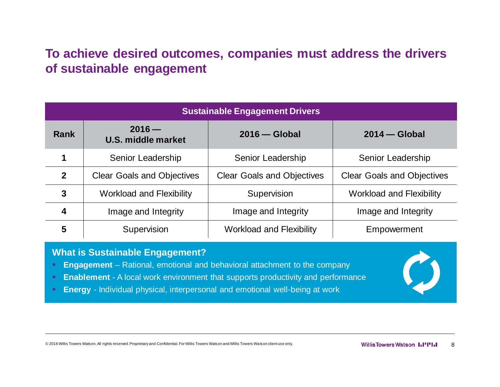# **To achieve desired outcomes, companies must address the drivers of sustainable engagement**

| <b>Sustainable Engagement Drivers</b> |                                   |                                   |                                   |  |  |  |  |
|---------------------------------------|-----------------------------------|-----------------------------------|-----------------------------------|--|--|--|--|
| <b>Rank</b>                           | $2016 -$<br>U.S. middle market    | $2016$ - Global                   | $2014$ - Global                   |  |  |  |  |
| 1                                     | Senior Leadership                 | Senior Leadership                 | Senior Leadership                 |  |  |  |  |
| $\mathbf{2}$                          | <b>Clear Goals and Objectives</b> | <b>Clear Goals and Objectives</b> | <b>Clear Goals and Objectives</b> |  |  |  |  |
| $\mathbf{3}$                          | <b>Workload and Flexibility</b>   | Supervision                       | <b>Workload and Flexibility</b>   |  |  |  |  |
| 4                                     | Image and Integrity               | Image and Integrity               | Image and Integrity               |  |  |  |  |
| 5                                     | Supervision                       | <b>Workload and Flexibility</b>   | Empowerment                       |  |  |  |  |

#### **What is Sustainable Engagement?**

- **Engagement** Rational, emotional and behavioral attachment to the company
- **Enablement** A local work environment that supports productivity and performance
- **Energy** Individual physical, interpersonal and emotional well-being at work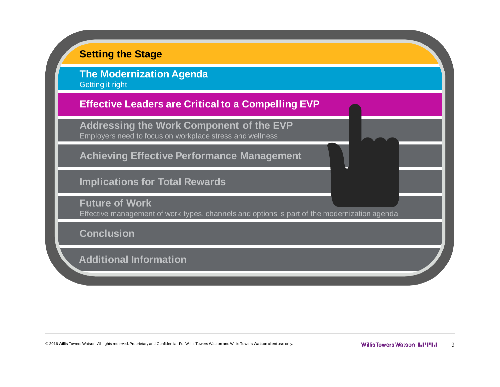#### **Setting the Stage**

**The Modernization Agenda** Getting it right

**Effective Leaders are Critical to a Compelling EVP**

**Addressing the Work Component of the EVP** Employers need to focus on workplace stress and wellness

**Achieving Effective Performance Management**

**Implications for Total Rewards**

**Future of Work** Effective management of work types, channels and options is part of the modernization agenda

**Conclusion**

**Additional Information**

© 2016 Willis Towers Watson. All rights reserved. Proprietary and Confidential. For Willis Towers Watson and Willis Towers Watson client use only. The manufacture only. Nillis Towers Watson 1.1'''1.1 9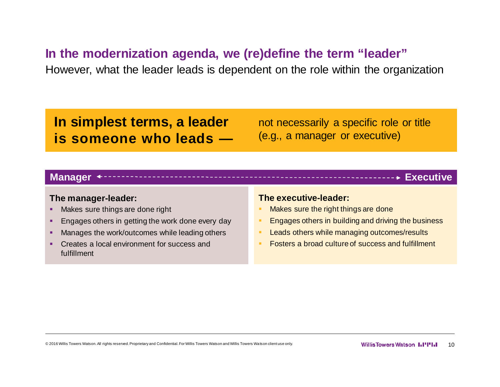#### **In the modernization agenda, we (re)define the term "leader"**

However, what the leader leads is dependent on the role within the organization

# **In simplest terms, a leader is someone who leads —**

not necessarily a specific role or title (e.g., a manager or executive)

#### **Manager Executive**

#### **The manager-leader:**

- Makes sure things are done right
- **Engages others in getting the work done every day**
- **Manages the work/outcomes while leading others**
- Creates a local environment for success and fulfillment

#### **The executive-leader:**

- Makes sure the right things are done
- § Engages others in building and driving the business
- Leads others while managing outcomes/results
- § Fosters a broad culture of success and fulfillment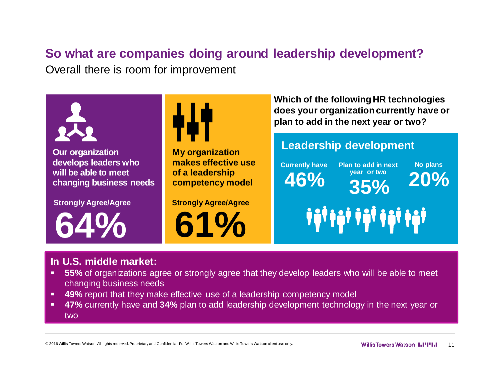# **So what are companies doing around leadership development?**

Overall there is room for improvement



#### **In U.S. middle market:**

- § **55%** of organizations agree or strongly agree that they develop leaders who will be able to meet changing business needs
- **49%** report that they make effective use of a leadership competency model
- § **47%** currently have and **34%** plan to add leadership development technology in the next year or two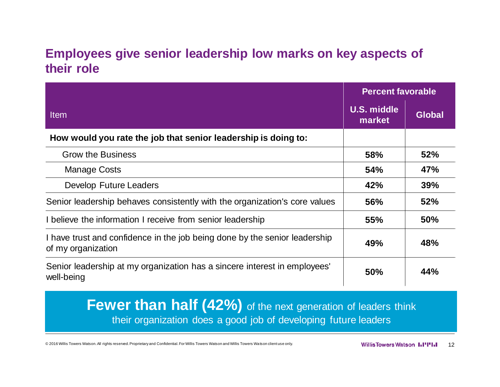### **Employees give senior leadership low marks on key aspects of their role**

|                                                                                                  | <b>Percent favorable</b>     |               |  |
|--------------------------------------------------------------------------------------------------|------------------------------|---------------|--|
| <b>Item</b>                                                                                      | <b>U.S. middle</b><br>market | <b>Global</b> |  |
| How would you rate the job that senior leadership is doing to:                                   |                              |               |  |
| <b>Grow the Business</b>                                                                         | 58%                          | 52%           |  |
| <b>Manage Costs</b>                                                                              | 54%                          | 47%           |  |
| <b>Develop Future Leaders</b>                                                                    | 42%                          | 39%           |  |
| Senior leadership behaves consistently with the organization's core values                       | <b>56%</b>                   | 52%           |  |
| I believe the information I receive from senior leadership                                       | 55%                          | <b>50%</b>    |  |
| I have trust and confidence in the job being done by the senior leadership<br>of my organization | 49%                          | 48%           |  |
| Senior leadership at my organization has a sincere interest in employees'<br>well-being          | <b>50%</b>                   | 44%           |  |

**Fewer than half (42%)** of the next generation of leaders think their organization does a good job of developing future leaders

© 2016 Willis Towers Watson. All rights reserved. Proprietary and Confidential. For Willis Towers Watson and Willis Towers Watson client use only. The mannough and Willis Towers Watson 1.1"1.1" 12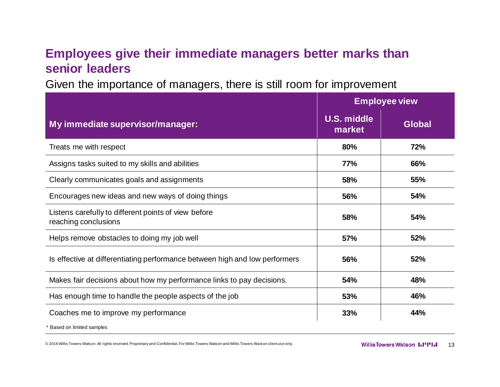# **Employees give their immediate managers better marks than senior leaders**

Given the importance of managers, there is still room for improvement

|                                                                              |                              | <b>Employee view</b> |  |  |  |
|------------------------------------------------------------------------------|------------------------------|----------------------|--|--|--|
| My immediate supervisor/manager:                                             | <b>U.S. middle</b><br>market | <b>Global</b>        |  |  |  |
| Treats me with respect                                                       | 80%                          | 72%                  |  |  |  |
| Assigns tasks suited to my skills and abilities                              | <b>77%</b>                   | 66%                  |  |  |  |
| Clearly communicates goals and assignments                                   | 58%                          | 55%                  |  |  |  |
| Encourages new ideas and new ways of doing things                            | 56%                          | 54%                  |  |  |  |
| Listens carefully to different points of view before<br>reaching conclusions | 58%                          | 54%                  |  |  |  |
| Helps remove obstacles to doing my job well                                  | 57%                          | 52%                  |  |  |  |
| Is effective at differentiating performance between high and low performers  | 56%                          | 52%                  |  |  |  |
| Makes fair decisions about how my performance links to pay decisions.        | 54%                          | 48%                  |  |  |  |
| Has enough time to handle the people aspects of the job                      | 53%                          | 46%                  |  |  |  |
| Coaches me to improve my performance                                         | 33%                          | 44%                  |  |  |  |
| Based on limited samples                                                     |                              |                      |  |  |  |

© 2016 Willis Towers Watson. All rights reserved. Proprietary and Confidential. For Willis Towers Watson and Willis Towers Watson client use only. The most of the the Willis Towers Watson 1.1"1.1 13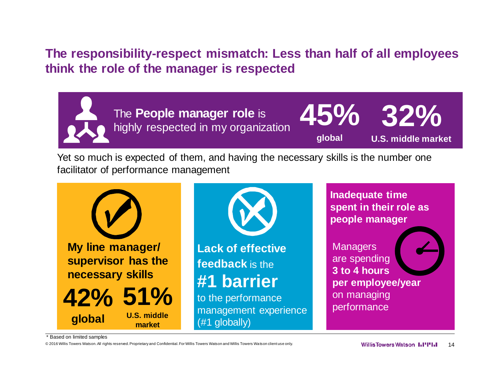# **The responsibility-respect mismatch: Less than half of all employees think the role of the manager is respected**



**facilitators of your The People manager role** is The **People manager role** is **45%**<br>**highly respected in my organization** 



**U.S. middle market**

Yet so much is expected of them, and having the necessary skills is the number one facilitator of performance management



<sup>\*</sup> Based on limited samples

© 2016 Willis Towers Watson. All rights reserved. Proprietary and Confidential. For Willis Towers Watson and Willis Towers Watson client use only. The monocleme only. Networks Watson and Willis Towers Watson and Willis Tow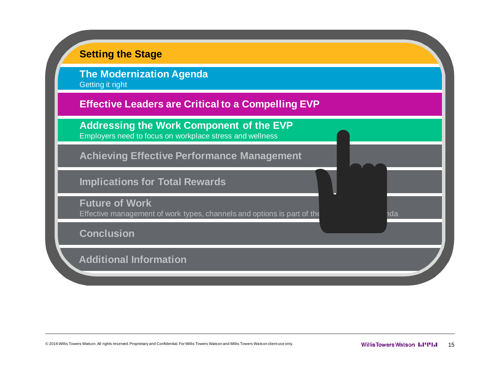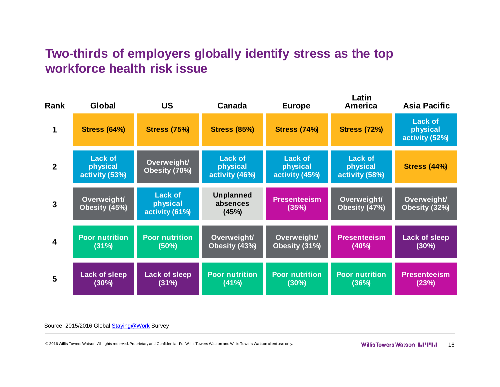# **Two-thirds of employers globally identify stress as the top workforce health risk issue**

| Rank             | <b>Global</b>                                | <b>US</b>                                    | Canada                                       | <b>Europe</b>                                | Latin<br><b>America</b>                      | <b>Asia Pacific</b>                          |
|------------------|----------------------------------------------|----------------------------------------------|----------------------------------------------|----------------------------------------------|----------------------------------------------|----------------------------------------------|
| 1                | <b>Stress (64%)</b>                          | <b>Stress (75%)</b>                          | <b>Stress (85%)</b>                          | <b>Stress (74%)</b>                          | <b>Stress (72%)</b>                          | <b>Lack of</b><br>physical<br>activity (52%) |
| $\overline{2}$   | <b>Lack of</b><br>physical<br>activity (53%) | Overweight/<br>Obesity (70%)                 | <b>Lack of</b><br>physical<br>activity (46%) | <b>Lack of</b><br>physical<br>activity (45%) | <b>Lack of</b><br>physical<br>activity (58%) | <b>Stress (44%)</b>                          |
| $\mathbf{3}$     | Overweight/<br>Obesity (45%)                 | <b>Lack of</b><br>physical<br>activity (61%) | <b>Unplanned</b><br>absences<br>(45%)        | <b>Presenteeism</b><br>(35%)                 | Overweight/<br>Obesity (47%)                 | Overweight/<br>Obesity (32%)                 |
| $\boldsymbol{4}$ | <b>Poor nutrition</b><br>(31%)               | <b>Poor nutrition</b><br>$(50\%)$            | Overweight/<br>Obesity (43%)                 | Overweight/<br>Obesity (31%)                 | <b>Presenteeism</b><br>(40%)                 | <b>Lack of sleep</b><br>$(30\%)$             |
| 5                | <b>Lack of sleep</b><br>(30%)                | <b>Lack of sleep</b><br>(31%)                | <b>Poor nutrition</b><br>(41%)               | <b>Poor nutrition</b><br>(30%)               | <b>Poor nutrition</b><br>(36%)               | <b>Presenteeism</b><br>(23%)                 |

#### Source: 2015/2016 Global [Staying@Work](mailto:Staying@Work) Survey

© 2016 Willis Towers Watson. All rights reserved. Proprietary and Confidential. For Willis Towers Watson and Willis Towers Watson client use only. The most of the the Willis Towers Watson 1.1"1.1" 16

**Latin**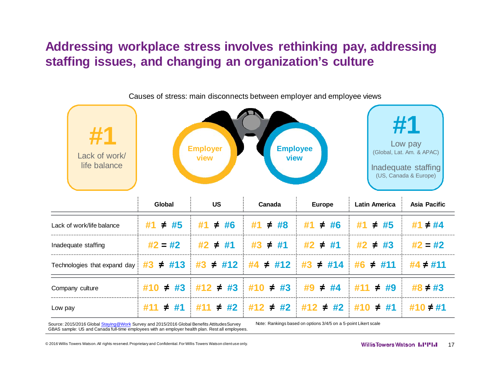# **Addressing workplace stress involves rethinking pay, addressing staffing issues, and changing an organization's culture**



Source: 2015/2016 Global [Staying@Work](mailto:Staying@Work) Survey and 2015/2016 Global Benefits Attitudes Survey GBAS sample: US and Canada full-time employees with an employer health plan. Rest all employees. Note: Rankings based on options 3/4/5 on a 5-point Likert scale

© 2016 Willis Towers Watson. All rights reserved. Proprietary and Confidential. For Willis Towers Watson client use only. 17 and the context of the context of the context of the context of the context of the context of the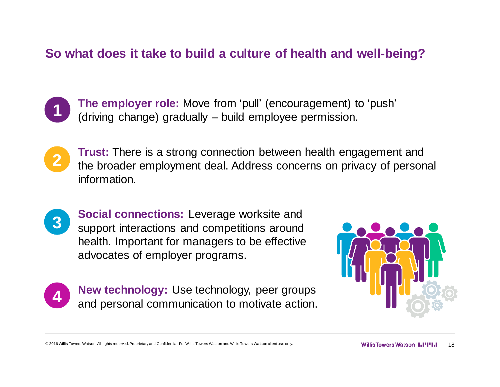#### **So what does it take to build a culture of health and well-being?**



**The employer role:** Move from 'pull' (encouragement) to 'push' (driving change) gradually – build employee permission.



**Trust:** There is a strong connection between health engagement and the broader employment deal. Address concerns on privacy of personal information.



**Social connections:** Leverage worksite and support interactions and competitions around health. Important for managers to be effective advocates of employer programs.



**New technology:** Use technology, peer groups and personal communication to motivate action.



© 2016 Willis Towers Watson. All rights reserved. Proprietary and Confidential. For Willis Towers Watson and Willis Towers Watson client use only. The monoclement of the state only. Nillis Towers Watson 1.1'''1.1 18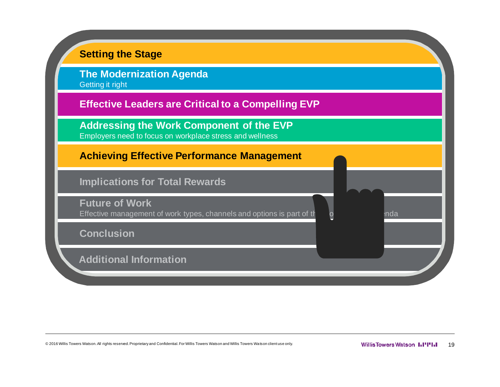

© 2016 Willis Towers Watson. All rights reserved. Proprietary and Confidential. For Willis Towers Watson and Willis Towers Watson client use only. The monditure only. Nillis Towers Watson III IIIII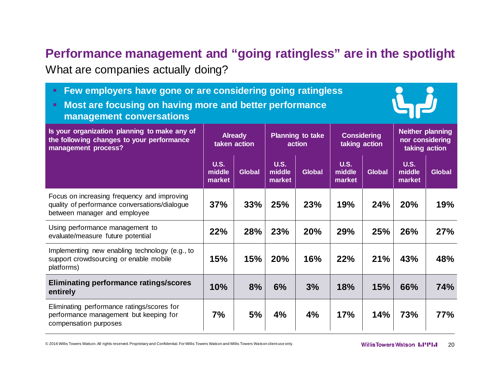# **Performance management and "going ratingless" are in the spotlight**

What are companies actually doing?

| Few employers have gone or are considering going ratingless<br>Most are focusing on having more and better performance<br>management conversations |                                 |                                |                                                                          |               |                                                             |               |                          |               |
|----------------------------------------------------------------------------------------------------------------------------------------------------|---------------------------------|--------------------------------|--------------------------------------------------------------------------|---------------|-------------------------------------------------------------|---------------|--------------------------|---------------|
| Is your organization planning to make any of<br>the following changes to your performance<br>management process?                                   |                                 | <b>Already</b><br>taken action | <b>Planning to take</b><br><b>Considering</b><br>taking action<br>action |               | <b>Neither planning</b><br>nor considering<br>taking action |               |                          |               |
|                                                                                                                                                    | <b>U.S.</b><br>middle<br>market | <b>Global</b>                  | <b>U.S.</b><br>middle<br>market                                          | <b>Global</b> | <b>U.S.</b><br>middle<br>market                             | <b>Global</b> | U.S.<br>middle<br>market | <b>Global</b> |
| Focus on increasing frequency and improving<br>quality of performance conversations/dialogue<br>between manager and employee                       | 37%                             | 33%                            | 25%                                                                      | 23%           | 19%                                                         | 24%           | 20%                      | 19%           |
| Using performance management to<br>evaluate/measure future potential                                                                               | 22%                             | 28%                            | 23%                                                                      | 20%           | 29%                                                         | 25%           | 26%                      | 27%           |
| Implementing new enabling technology (e.g., to<br>support crowdsourcing or enable mobile<br>platforms)                                             | 15%                             | 15%                            | 20%                                                                      | 16%           | 22%                                                         | 21%           | 43%                      | 48%           |
| <b>Eliminating performance ratings/scores</b><br>entirely                                                                                          | 10%                             | 8%                             | 6%                                                                       | 3%            | 18%                                                         | 15%           | 66%                      | 74%           |
| Eliminating performance ratings/scores for<br>performance management but keeping for<br>compensation purposes                                      | 7%                              | 5%                             | 4%                                                                       | 4%            | 17%                                                         | 14%           | 73%                      | 77%           |

© 2016 Willis Towers Watson. All rights reserved. Proprietary and Confidential. For Willis Towers Watson and Willis Towers Watson client use only. **20** 2016 Willis Towers Watson **1.1''I'I.I** 20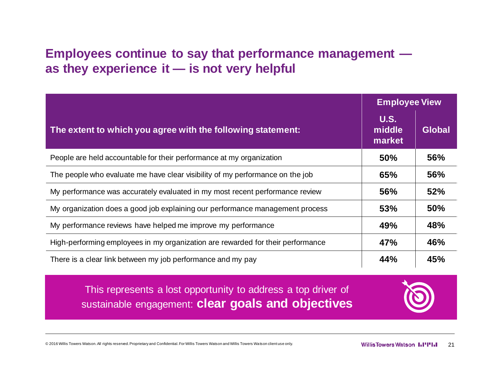# **Employees continue to say that performance management as they experience it — is not very helpful**

|                                                                                 | <b>Employee View</b>            |               |
|---------------------------------------------------------------------------------|---------------------------------|---------------|
| The extent to which you agree with the following statement:                     | <b>U.S.</b><br>middle<br>market | <b>Global</b> |
| People are held accountable for their performance at my organization            | <b>50%</b>                      | 56%           |
| The people who evaluate me have clear visibility of my performance on the job   | 65%                             | 56%           |
| My performance was accurately evaluated in my most recent performance review    | 56%                             | 52%           |
| My organization does a good job explaining our performance management process   | 53%                             | 50%           |
| My performance reviews have helped me improve my performance                    | 49%                             | 48%           |
| High-performing employees in my organization are rewarded for their performance | 47%                             | 46%           |
| There is a clear link between my job performance and my pay                     | 44%                             | 45%           |

This represents a lost opportunity to address a top driver of sustainable engagement: **clear goals and objectives**



© 2016 Willis Towers Watson. All rights reserved. Proprietary and Confidential. For Willis Towers Watson and Willis Towers Watson client use only. **21 COMIC CONFIGUREY WATSON INTERNATES 21**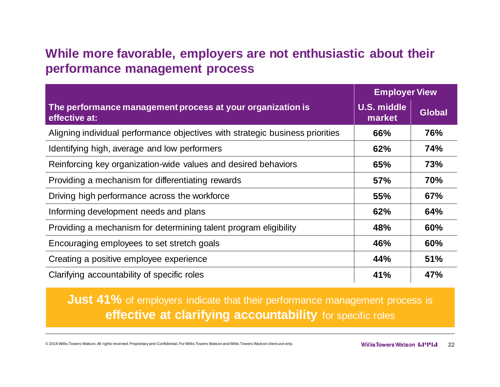### **While more favorable, employers are not enthusiastic about their performance management process**

|                                                                               | <b>Employer View</b>         |               |
|-------------------------------------------------------------------------------|------------------------------|---------------|
| The performance management process at your organization is<br>effective at:   | <b>U.S. middle</b><br>market | <b>Global</b> |
| Aligning individual performance objectives with strategic business priorities | 66%                          | 76%           |
| Identifying high, average and low performers                                  | 62%                          | 74%           |
| Reinforcing key organization-wide values and desired behaviors                | 65%                          | 73%           |
| Providing a mechanism for differentiating rewards                             | <b>57%</b>                   | 70%           |
| Driving high performance across the workforce                                 | <b>55%</b>                   | 67%           |
| Informing development needs and plans                                         | 62%                          | 64%           |
| Providing a mechanism for determining talent program eligibility              | 48%                          | 60%           |
| Encouraging employees to set stretch goals                                    | 46%                          | 60%           |
| Creating a positive employee experience                                       | 44%                          | 51%           |
| Clarifying accountability of specific roles                                   | 41%                          | 47%           |

**Just 41%** of employers indicate that their performance management process is **effective at clarifying accountability** for specific roles

© 2016 Willis Towers Watson. All rights reserved. Proprietary and Confidential. For Willis Towers Watson and Willis Towers Watson client use only. **22 Willis Towers Watson 1.1''1.** 22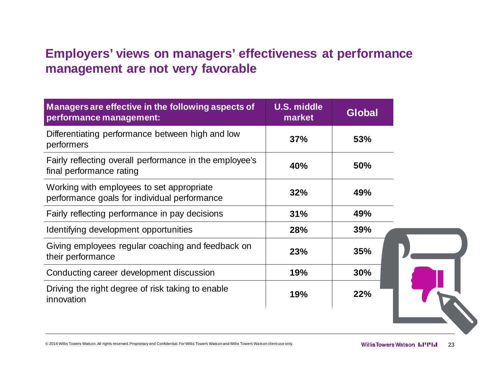# **Employers' views on managers' effectiveness at performance management are not very favorable**

| Managers are effective in the following aspects of<br>performance management:             | <b>U.S. middle</b><br>market | <b>Global</b> |
|-------------------------------------------------------------------------------------------|------------------------------|---------------|
| Differentiating performance between high and low<br>performers                            | 37%                          | 53%           |
| Fairly reflecting overall performance in the employee's<br>final performance rating       | 40%                          | <b>50%</b>    |
| Working with employees to set appropriate<br>performance goals for individual performance | 32%                          | 49%           |
| Fairly reflecting performance in pay decisions                                            | 31%                          | 49%           |
| Identifying development opportunities                                                     | 28%                          | <b>39%</b>    |
| Giving employees regular coaching and feedback on<br>their performance                    | 23%                          | 35%           |
| Conducting career development discussion                                                  | 19%                          | 30%           |
| Driving the right degree of risk taking to enable<br>innovation                           | 19%                          | 22%           |

© 2016 Willis Towers Watson. All rights reserved. Proprietary and Confidential. For Willis Towers Watson and Willis Towers Watson client use only. **23** Willis Towers Watson **1.1''I.** 23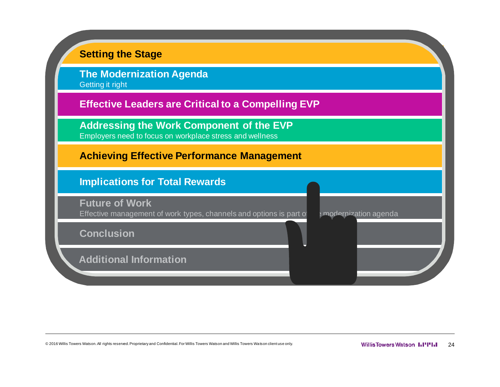

© 2016 Willis Towers Watson. All rights reserved. Proprietary and Confidential. For Willis Towers Watson and Willis Towers Watson client use only. **2008** Watson **Willis Towers Watson 1.1''1.** 24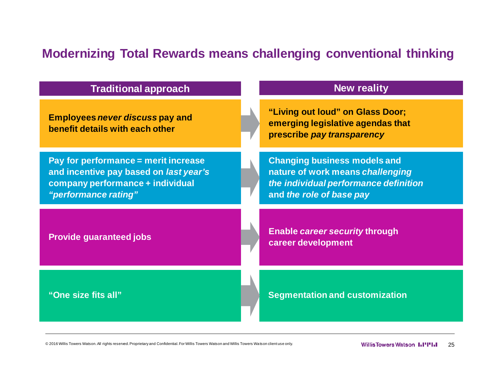# **Modernizing Total Rewards means challenging conventional thinking**

| <b>Traditional approach</b>                                                                                                                | <b>New reality</b>                                                                                                                           |
|--------------------------------------------------------------------------------------------------------------------------------------------|----------------------------------------------------------------------------------------------------------------------------------------------|
| <b>Employees never discuss pay and</b><br>benefit details with each other                                                                  | "Living out loud" on Glass Door;<br>emerging legislative agendas that<br>prescribe pay transparency                                          |
| Pay for performance = merit increase<br>and incentive pay based on last year's<br>company performance + individual<br>"performance rating" | <b>Changing business models and</b><br>nature of work means challenging<br>the individual performance definition<br>and the role of base pay |
| <b>Provide guaranteed jobs</b>                                                                                                             | <b>Enable career security through</b><br>career development                                                                                  |
| "One size fits all"                                                                                                                        | <b>Segmentation and customization</b>                                                                                                        |

© 2016 Willis Towers Watson. All rights reserved. Proprietary and Confidential. For Willis Towers Watson and Willis Towers Watson client use only. **25 and Confidential Proprietary and Confidential. For Willis Towers Watson**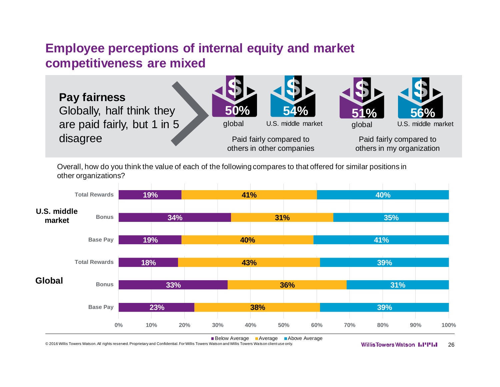#### **Employee perceptions of internal equity and market competitiveness are mixed**



Overall, how do you think the value of each of the following compares to that offered for similar positions in other organizations?



© 2016 Willis Towers Watson. All rights reserved. Proprietary and Confidential. For Willis Towers Watson and Willis Towers Watson client use only. **2008** Willis Towers Watson **AN THE 1112 126**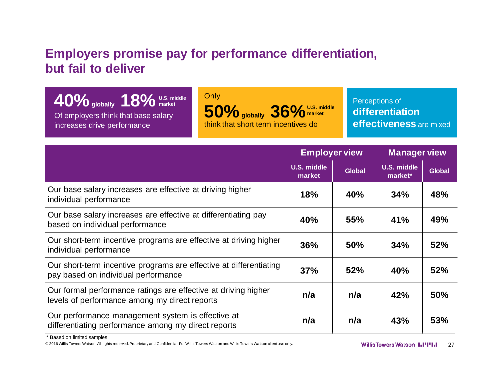# **Employers promise pay for performance differentiation, but fail to deliver**

| $10\%$ globally $18\%$ U.S. middle  | Only               |
|-------------------------------------|--------------------|
| Of employers think that base salary | 50                 |
| increases drive performance         | think <sup>®</sup> |

market **50%** globally 36% U.S. middle that short term incentives do **market**

Perceptions of **differentiation effectiveness** are mixed

|                                                                                                                 | <b>Employer view</b>         |               | <b>Manager view</b>           |               |
|-----------------------------------------------------------------------------------------------------------------|------------------------------|---------------|-------------------------------|---------------|
|                                                                                                                 | <b>U.S. middle</b><br>market | <b>Global</b> | <b>U.S. middle</b><br>market* | <b>Global</b> |
| Our base salary increases are effective at driving higher<br>individual performance                             | 18%                          | 40%           | 34%                           | 48%           |
| Our base salary increases are effective at differentiating pay<br>based on individual performance               | 40%                          | <b>55%</b>    | 41%                           | 49%           |
| Our short-term incentive programs are effective at driving higher<br>individual performance                     | 36%                          | <b>50%</b>    | 34%                           | 52%           |
| Our short-term incentive programs are effective at differentiating<br>pay based on individual performance       | 37%                          | 52%           | 40%                           | 52%           |
| Our formal performance ratings are effective at driving higher<br>levels of performance among my direct reports | n/a                          | n/a           | 42%                           | <b>50%</b>    |
| Our performance management system is effective at<br>differentiating performance among my direct reports        | n/a                          | n/a           | 43%                           | 53%           |

\* Based on limited samples

© 2016 Willis Towers Watson. All rights reserved. Proprietary and Confidential. For Willis Towers Watson and Willis Towers Watson client use only. **27** 27 **Willis Towers Watson 1.1"1.1"**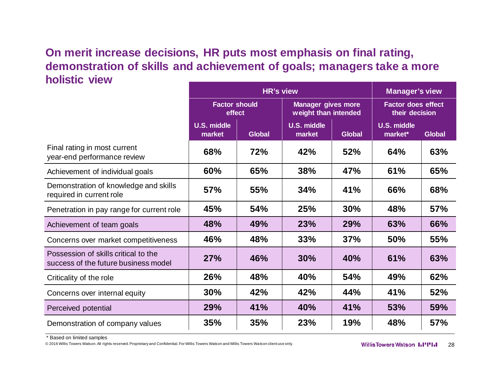#### **On merit increase decisions, HR puts most emphasis on final rating, demonstration of skills and achievement of goals; managers take a more holistic view**

|                                                                              | <b>HR's view</b>               |               |                                                   |               | <b>Manager's view</b>                       |        |
|------------------------------------------------------------------------------|--------------------------------|---------------|---------------------------------------------------|---------------|---------------------------------------------|--------|
|                                                                              | <b>Factor should</b><br>effect |               | <b>Manager gives more</b><br>weight than intended |               | <b>Factor does effect</b><br>their decision |        |
|                                                                              | <b>U.S. middle</b><br>market   | <b>Global</b> | <b>U.S. middle</b><br>market                      | <b>Global</b> | <b>U.S. middle</b><br>market*               | Global |
| Final rating in most current<br>year-end performance review                  | 68%                            | 72%           | 42%                                               | 52%           | 64%                                         | 63%    |
| Achievement of individual goals                                              | 60%                            | 65%           | 38%                                               | 47%           | 61%                                         | 65%    |
| Demonstration of knowledge and skills<br>required in current role            | <b>57%</b>                     | <b>55%</b>    | 34%                                               | 41%           | 66%                                         | 68%    |
| Penetration in pay range for current role                                    | 45%                            | 54%           | 25%                                               | 30%           | 48%                                         | 57%    |
| Achievement of team goals                                                    | 48%                            | 49%           | 23%                                               | 29%           | 63%                                         | 66%    |
| Concerns over market competitiveness                                         | 46%                            | 48%           | 33%                                               | 37%           | <b>50%</b>                                  | 55%    |
| Possession of skills critical to the<br>success of the future business model | 27%                            | 46%           | 30%                                               | 40%           | 61%                                         | 63%    |
| Criticality of the role                                                      | 26%                            | 48%           | 40%                                               | 54%           | 49%                                         | 62%    |
| Concerns over internal equity                                                | 30%                            | 42%           | 42%                                               | 44%           | 41%                                         | 52%    |
| Perceived potential                                                          | 29%                            | 41%           | 40%                                               | 41%           | 53%                                         | 59%    |
| Demonstration of company values                                              | 35%                            | 35%           | 23%                                               | 19%           | 48%                                         | 57%    |

\* Based on limited samples

© 2016 Willis Towers Watson. All rights reserved. Proprietary and Confidential. For Willis Towers Watson and Willis Towers Watson client use only. **28 CONFIGUARY MATE WATS WATSON 1.1"1.1** 28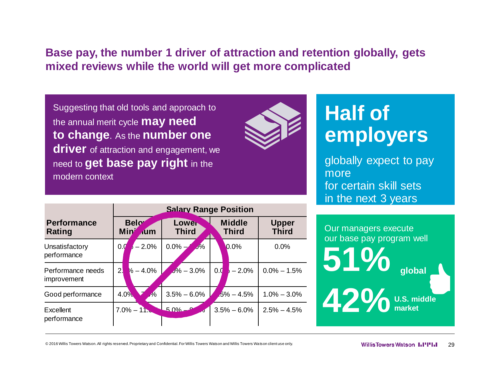#### **Base pay, the number 1 driver of attraction and retention globally, gets mixed reviews while the world will get more complicated**

Suggesting that old tools and approach to the annual merit cycle **may need to change**. As the **number one driver** of attraction and engagement, we need to **get base pay right** in the modern context



# **Half of employers**

globally expect to pay more for certain skill sets in the next 3 years

|                                  | <b>Salary Range Position</b>             |                       |                               |                              |  |
|----------------------------------|------------------------------------------|-----------------------|-------------------------------|------------------------------|--|
| <b>Performance</b><br>Rating     | <b>Below</b><br><b>Min</b><br><b>Aum</b> | Lower<br><b>Third</b> | <b>Middle</b><br><b>Third</b> | <b>Upper</b><br><b>Third</b> |  |
| Unsatisfactory<br>performance    | $-2.0%$<br>0.0                           | $0.0\%$ -<br>$J\%$    | 0.0%                          | 0.0%                         |  |
| Performance needs<br>improvement | $2\sqrt{ }$<br>$\frac{1}{6} - 4.0\%$     | $J\% - 3.0\%$         | 0.0<br>$-2.0%$                | $0.0\% - 1.5\%$              |  |
| Good performance                 | 4.0%<br>$\frac{1}{2}$                    | $3.5\% - 6.0\%$       | $.5\% - 4.5\%$                | $1.0\% - 3.0\%$              |  |
| Excellent<br>performance         | $7.0\% - 11.$                            | $5.0\%$ –             | $3.5\% - 6.0\%$               | $2.5\% - 4.5\%$              |  |



© 2016 Willis Towers Watson. All rights reserved. Proprietary and Confidential. For Willis Towers Watson and Willis Towers Watson client use only. **2008** Watson **Willis Towers Watson 1.1''1.1**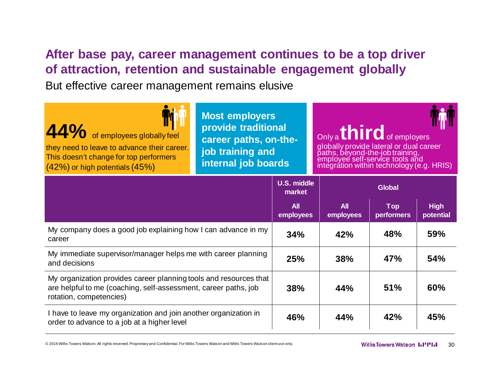# **After base pay, career management continues to be a top driver of attraction, retention and sustainable engagement globally**

But effective career management remains elusive

| 44% of employees globally feel<br>they need to leave to advance their career.<br>This doesn't change for top performers<br>(42%) or high potentials (45%) | Most employers<br>provide traditional<br>career paths, on-the-<br>job training and<br>internal job boards |                              | Only a <b>third</b> of employers<br>globally provide lateral or dual career<br>paths, beyond-the-job training,<br>employee self-service tools and<br>integration within technology (e.g. HRIS) |  |  |  |
|-----------------------------------------------------------------------------------------------------------------------------------------------------------|-----------------------------------------------------------------------------------------------------------|------------------------------|------------------------------------------------------------------------------------------------------------------------------------------------------------------------------------------------|--|--|--|
|                                                                                                                                                           |                                                                                                           | <b>U.S. middle</b><br>market | <b>Global</b>                                                                                                                                                                                  |  |  |  |

|                                                                                                                                                                 | <b>All</b><br>employees | All<br>employees | <b>Top</b><br><b>performers</b> | <b>High</b><br>potential |
|-----------------------------------------------------------------------------------------------------------------------------------------------------------------|-------------------------|------------------|---------------------------------|--------------------------|
| My company does a good job explaining how I can advance in my<br>career                                                                                         | 34%                     | 42%              | 48%                             | 59%                      |
| My immediate supervisor/manager helps me with career planning<br>and decisions                                                                                  | 25%                     | 38%              | 47%                             | 54%                      |
| My organization provides career planning tools and resources that<br>are helpful to me (coaching, self-assessment, career paths, job<br>rotation, competencies) | 38%                     | 44%              | 51%                             | 60%                      |
| I have to leave my organization and join another organization in<br>order to advance to a job at a higher level                                                 | 46%                     | 44%              | 42%                             | 45%                      |

© 2016 Willis Towers Watson. All rights reserved. Proprietary and Confidential. For Willis Towers Watson and Willis Towers Watson client use only. **The Confidential Confidential. For Willis Towers Watson and Willis Towers**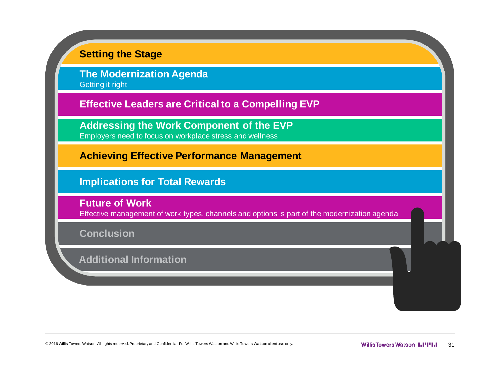

© 2016 Willis Towers Watson. All rights reserved. Proprietary and Confidential. For Willis Towers Watson and Willis Towers Watson client use only. **31 Allis Towers Willis Towers Watson IIIIIIII** 31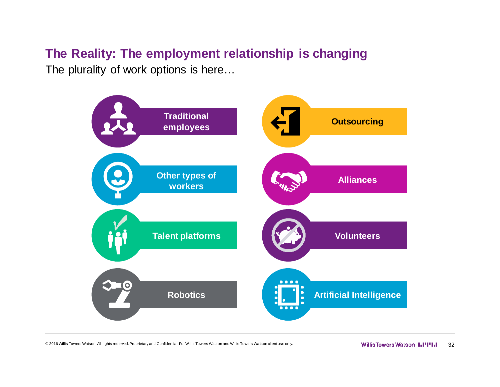# **The Reality: The employment relationship is changing**

The plurality of work options is here…



© 2016 Willis Towers Watson. All rights reserved. Proprietary and Confidential. For Willis Towers Watson and Willis Towers Watson client use only. **32** Willis Towers Watson **1.1''I'.** 32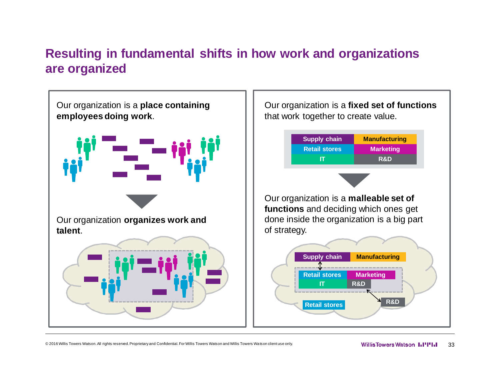# **Resulting in fundamental shifts in how work and organizations are organized**

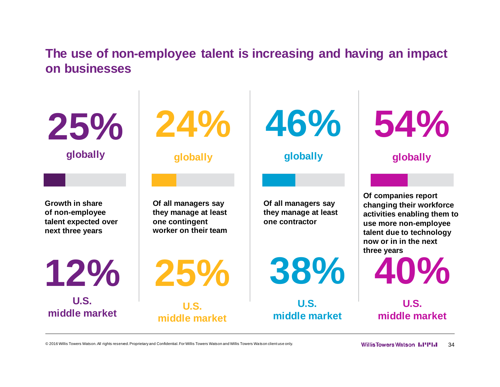**The use of non-employee talent is increasing and having an impact on businesses**

**Growth in share of non-employee talent expected over next three years 25% globally 24% globally 46% Of all managers say they manage at least one contingent worker on their team 12% U.S. middle market 25% U.S. middle market 38% middle market**

**Of all managers say they manage at least one contractor**

**U.S.** 

**globally**

**Of companies report changing their workforce activities enabling them to use more non-employee talent due to technology now or in in the next three years**

**40%**

**54%**

**globally**

**U.S. middle market**

© 2016 Willis Towers Watson. All rights reserved. Proprietary and Confidential. For Willis Towers Watson and Willis Towers Watson client use only. **34 Servey and Deverthian 1990 and Figure** 34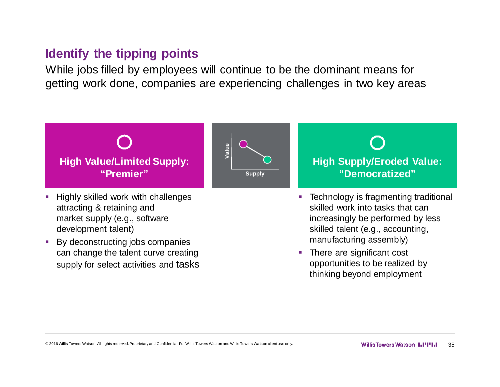#### **Identify the tipping points**

While jobs filled by employees will continue to be the dominant means for getting work done, companies are experiencing challenges in two key areas



- attracting & retaining and market supply (e.g., software development talent)
- By deconstructing jobs companies can change the talent curve creating supply for select activities and tasks

■ Technology is fragmenting traditional skilled work into tasks that can increasingly be performed by less skilled talent (e.g., accounting, manufacturing assembly)

• There are significant cost opportunities to be realized by thinking beyond employment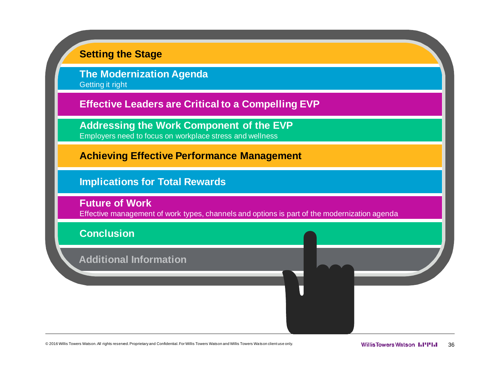

© 2016 Willis Towers Watson. All rights reserved. Proprietary and Confidential. For Willis Towers Watson and Willis Towers Watson client use only. **36 and Secure 2016 Willis Towers Watson III'III** 36